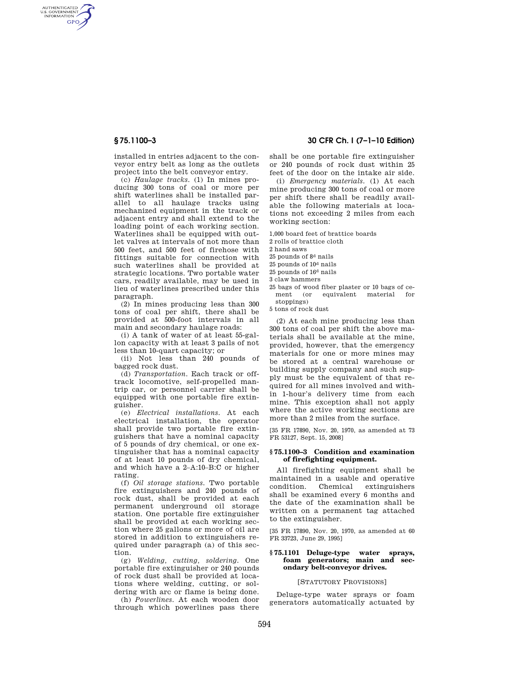AUTHENTICATED<br>U.S. GOVERNMENT<br>INFORMATION GPO

> installed in entries adjacent to the conveyor entry belt as long as the outlets project into the belt conveyor entry.

(c) *Haulage tracks.* (1) In mines producing 300 tons of coal or more per shift waterlines shall be installed parallel to all haulage tracks using mechanized equipment in the track or adjacent entry and shall extend to the loading point of each working section. Waterlines shall be equipped with outlet valves at intervals of not more than 500 feet, and 500 feet of firehose with fittings suitable for connection with such waterlines shall be provided at strategic locations. Two portable water cars, readily available, may be used in lieu of waterlines prescribed under this paragraph.

(2) In mines producing less than 300 tons of coal per shift, there shall be provided at 500-foot intervals in all main and secondary haulage roads:

(i) A tank of water of at least 55-gallon capacity with at least 3 pails of not less than 10-quart capacity; or

(ii) Not less than 240 pounds of bagged rock dust.

(d) *Transportation.* Each track or offtrack locomotive, self-propelled mantrip car, or personnel carrier shall be equipped with one portable fire extinguisher.

(e) *Electrical installations.* At each electrical installation, the operator shall provide two portable fire extinguishers that have a nominal capacity of 5 pounds of dry chemical, or one extinguisher that has a nominal capacity of at least 10 pounds of dry chemical, and which have a 2–A:10–B:C or higher rating.

(f) *Oil storage stations.* Two portable fire extinguishers and 240 pounds of rock dust, shall be provided at each permanent underground oil storage station. One portable fire extinguisher shall be provided at each working section where 25 gallons or more of oil are stored in addition to extinguishers required under paragraph (a) of this section.

(g) *Welding, cutting, soldering.* One portable fire extinguisher or 240 pounds of rock dust shall be provided at locations where welding, cutting, or soldering with arc or flame is being done.

(h) *Powerlines.* At each wooden door through which powerlines pass there

# **§ 75.1100–3 30 CFR Ch. I (7–1–10 Edition)**

shall be one portable fire extinguisher or 240 pounds of rock dust within 25 feet of the door on the intake air side.

(i) *Emergency materials.* (1) At each mine producing 300 tons of coal or more per shift there shall be readily available the following materials at locations not exceeding 2 miles from each working section:

1,000 board feet of brattice boards

2 rolls of brattice cloth

2 hand saws

25 pounds of 8d nails

25 pounds of 10d nails

25 pounds of 16d nails

3 claw hammers

25 bags of wood fiber plaster or 10 bags of cement (or equivalent material for stoppings)

5 tons of rock dust

(2) At each mine producing less than 300 tons of coal per shift the above materials shall be available at the mine, provided, however, that the emergency materials for one or more mines may be stored at a central warehouse or building supply company and such supply must be the equivalent of that required for all mines involved and within 1-hour's delivery time from each mine. This exception shall not apply where the active working sections are more than 2 miles from the surface.

[35 FR 17890, Nov. 20, 1970, as amended at 73 FR 53127, Sept. 15, 2008]

## **§ 75.1100–3 Condition and examination of firefighting equipment.**

All firefighting equipment shall be maintained in a usable and operative condition. Chemical extinguishers shall be examined every 6 months and the date of the examination shall be written on a permanent tag attached to the extinguisher.

[35 FR 17890, Nov. 20, 1970, as amended at 60 FR 33723, June 29, 1995]

#### **§ 75.1101 Deluge-type water sprays, foam generators; main and secondary belt-conveyor drives.**

[STATUTORY PROVISIONS]

Deluge-type water sprays or foam generators automatically actuated by